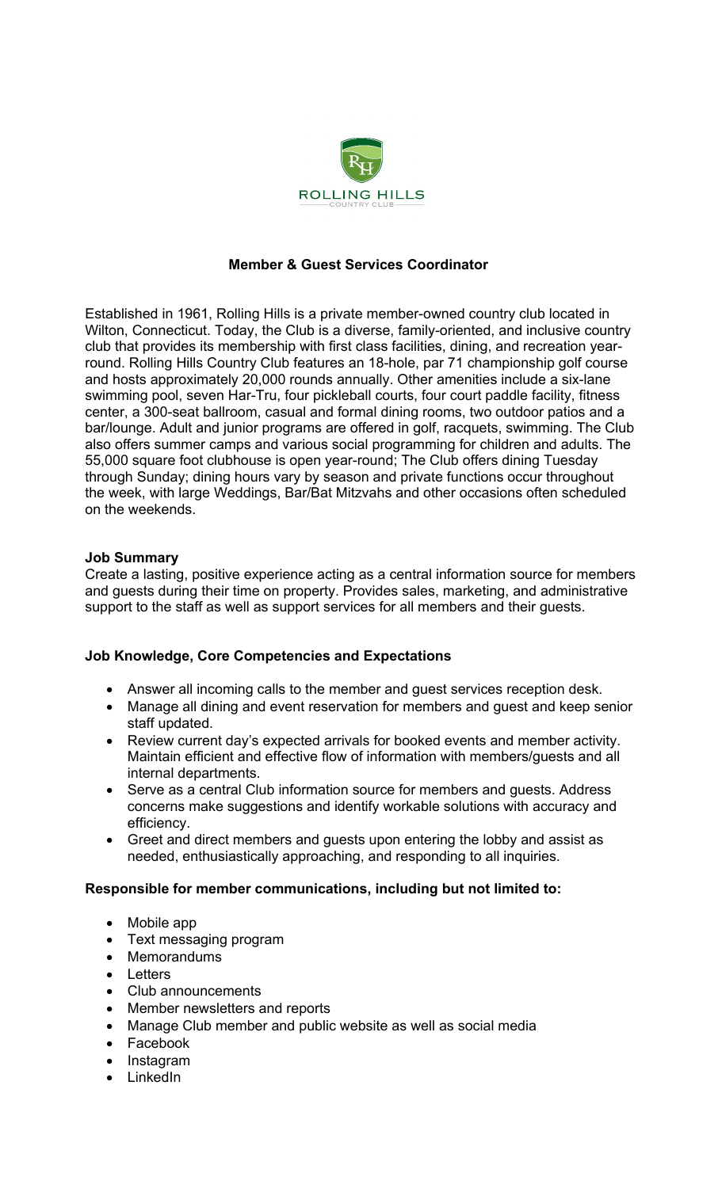

# **Member & Guest Services Coordinator**

Established in 1961, Rolling Hills is a private member-owned country club located in Wilton, Connecticut. Today, the Club is a diverse, family-oriented, and inclusive country club that provides its membership with first class facilities, dining, and recreation yearround. Rolling Hills Country Club features an 18-hole, par 71 championship golf course and hosts approximately 20,000 rounds annually. Other amenities include a six-lane swimming pool, seven Har-Tru, four pickleball courts, four court paddle facility, fitness center, a 300-seat ballroom, casual and formal dining rooms, two outdoor patios and a bar/lounge. Adult and junior programs are offered in golf, racquets, swimming. The Club also offers summer camps and various social programming for children and adults. The 55,000 square foot clubhouse is open year-round; The Club offers dining Tuesday through Sunday; dining hours vary by season and private functions occur throughout the week, with large Weddings, Bar/Bat Mitzvahs and other occasions often scheduled on the weekends.

#### **Job Summary**

Create a lasting, positive experience acting as a central information source for members and guests during their time on property. Provides sales, marketing, and administrative support to the staff as well as support services for all members and their guests.

#### **Job Knowledge, Core Competencies and Expectations**

- Answer all incoming calls to the member and guest services reception desk.
- Manage all dining and event reservation for members and guest and keep senior staff updated.
- Review current day's expected arrivals for booked events and member activity. Maintain efficient and effective flow of information with members/guests and all internal departments.
- Serve as a central Club information source for members and guests. Address concerns make suggestions and identify workable solutions with accuracy and efficiency.
- Greet and direct members and guests upon entering the lobby and assist as needed, enthusiastically approaching, and responding to all inquiries.

# **Responsible for member communications, including but not limited to:**

- Mobile app
- Text messaging program
- Memorandums
- Letters
- Club announcements
- Member newsletters and reports
- Manage Club member and public website as well as social media
- Facebook
- Instagram
- LinkedIn